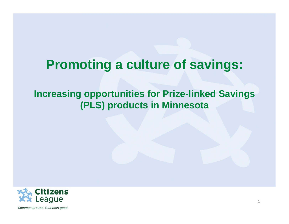### **Promoting a culture of savings:**

### **Increasing opportunities for Prize-linked Savings (PLS) products in Minnesota**

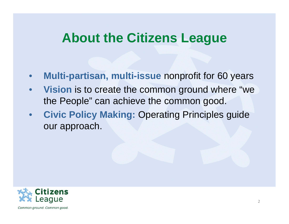### **About the Citizens League**

- $\bullet$ **Multi-partisan, multi-issue** nonprofit for 60 years
- $\bullet$  **Vision** is to create the common ground where "we the People" can achieve the common good.
- $\bullet$ **Civic Policy Making: Operating Principles guide** our approach.

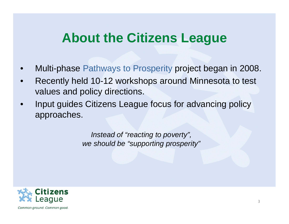### **About the Citizens League**

- •Multi-phase Pathways to Prosperity project began in 2008.
- • Recently held 10-12 workshops around Minnesota to test values and policy directions.
- $\bullet$  Input guides Citizens League focus for advancing policy approaches.

*Instead of "reacting to poverty", we should be "supporting prosperity"*

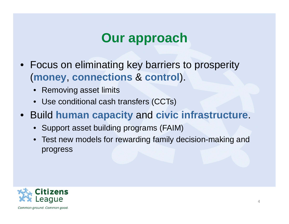# **Our approach**

- Focus on eliminating key barriers to prosperity (**money**, **connections** & **control**).
	- •Removing asset limits
	- Use conditional cash transfers (CCTs)
- Build **human capacity** and **civic infrastructure**.
	- Support asset building programs (FAIM)
	- Test new models for rewarding family decision-making and progress

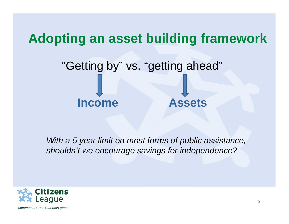## **Adopting an asset building framework**

# "Getting by" vs. "getting ahead" **Income Assets**

*With a 5 year limit on most forms of public assistance, shouldn't we encourage savings for independence?*

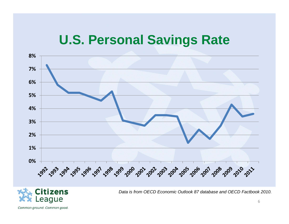### **U.S. Personal Savings Rate**



**Citizens** eague

*Data is from OECD Economic Outlook 87 database and OECD Factbook 2010.*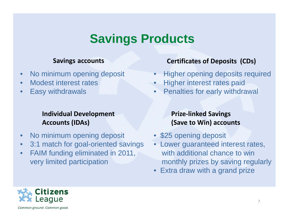### **Savings Products**

#### **Savings accounts**

- $\bullet$ No minimum opening deposit
- $\bullet$ Modest interest rates
- •Easy withdrawals

#### **Individual Development Accounts (IDAs)**

- $\bullet$ No minimum opening deposit
- $\bullet$ 3:1 match for goal-oriented savings
- $\bullet$ FAIM funding eliminated in 2011, very limited participation

#### **Certificates of Deposits (CDs)**

- •Higher opening deposits required
- •Higher interest rates paid
- •Penalties for early withdrawal

#### **Prize ‐linked Savings (Save to Win) accounts**

- \$25 opening deposit
- Lower guaranteed interest rates, with additional chance to win monthly prizes by saving regularly
- Extra draw with a grand prize

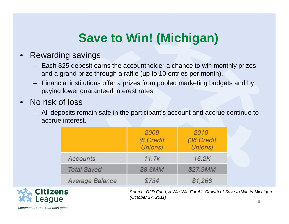## **Save to Win! (Michigan)**

#### $\bullet$ Rewarding savings

- Each \$25 deposit earns the accountholder a chance to win monthly prizes and a grand prize through a raffle (up to 10 entries per month).
- Financial institutions offer a prizes from pooled marketing budgets and by paying lower guaranteed interest rates.
- • No risk of loss
	- All deposits remain safe in the participant's account and accrue continue to accrue interest.

|                    | 2009<br>(8 Credit<br>Unions) | 2010<br>(36 Credit<br>Unions) |  |
|--------------------|------------------------------|-------------------------------|--|
| Accounts           | 11.7k                        | 16.2K                         |  |
| <b>Total Saved</b> | \$8.6MM                      | \$27.9MM                      |  |
| Average Balance    | \$734                        | \$1,268                       |  |



*Source: D2D Fund, A Win-Win For All: Growth of Save to Win in Michigan (October 27, 2011)*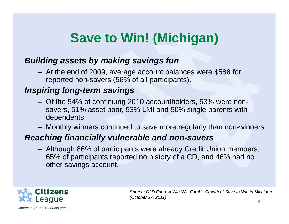# **Save to Win! (Michigan)**

### *Building assets by making savings fun*

 At the end of 2009, average account balances were \$588 for reported non-savers (56% of all participants).

### *Inspiring long-term savings*

- Of the 54% of continuing 2010 accountholders, 53% were nonsavers, 51% asset poor, 53% LMI and 50% single parents with dependents.
- Monthly winners continued to save more regularly than non-winners.

### *Reaching financially vulnerable and non-savers*

 Although 86% of participants were already Credit Union members, 65% of participants reported no history of a CD, and 46% had no other savings account.



*Source: D2D Fund, A Win-Win For All: Growth of Save to Win in Michigan (October 27, 2011)*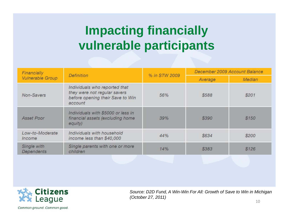# **Impacting financially vulnerable participants**

| Financially                      | <b>Definition</b>                                                                                            | % in STW 2009 | December 2009 Account Balance |               |  |
|----------------------------------|--------------------------------------------------------------------------------------------------------------|---------------|-------------------------------|---------------|--|
| <b>Vulnerable Group</b>          |                                                                                                              |               | Average                       | <b>Median</b> |  |
| Non-Savers                       | Individuals who reported that<br>they were not regular savers<br>before opening their Save to Win<br>account | 56%           | \$588                         | \$201         |  |
| Asset Poor                       | Individuals with \$5000 or less in<br>financial assets (excluding home<br>equity)                            | 39%           | \$390                         | \$150         |  |
| Low-to-Moderate<br>Income        | Individuals with household<br>income less than \$40,000                                                      | 44%           | \$634                         | \$200         |  |
| Single with<br><b>Dependents</b> | Single parents with one or more<br>children                                                                  | 14%           | \$383                         | \$126         |  |



*Source: D2D Fund, A Win-Win For All: Growth of Save to Win in Michigan (October 27, 2011)*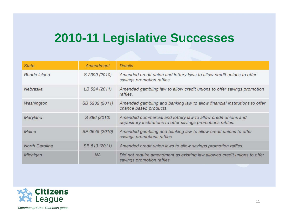### **2010-11 Legislative Successes**

| <b>State</b>   | Amendment      | <b>Details</b>                                                                                                                |
|----------------|----------------|-------------------------------------------------------------------------------------------------------------------------------|
| Rhode Island   | S 2399 (2010)  | Amended credit union and lottery laws to allow credit unions to offer<br>savings promotion raffles.                           |
| Nebraska       | LB 524 (2011)  | Amended gambling law to allow credit unions to offer savings promotion<br>raffles.                                            |
| Washington     | SB 5232 (2011) | Amended gambling and banking law to allow financial institutions to offer<br>chance based products.                           |
| Maryland       | S 886 (2010)   | Amended commercial and lottery law to allow credit unions and<br>depository institutions to offer savings promotions raffles. |
| Maine          | SP 0645 (2010) | Amended gambling and banking law to allow credit unions to offer<br>savings promotions raffles                                |
| North Carolina | SB 513 (2011)  | Amended credit union laws to allow savings promotion raffles.                                                                 |
| Michigan       | <b>NA</b>      | Did not require amendment as existing law allowed credit unions to offer<br>savings promotion raffles                         |

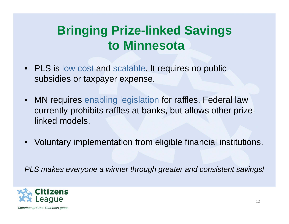## **Bringing Prize-linked Savings to Minnesota**

- PLS is low cost and scalable. It requires no public subsidies or taxpayer expense.
- MN requires enabling legislation for raffles. Federal law currently prohibits raffles at banks, but allows other prizelinked models.
- Voluntary implementation from eligible financial institutions.

*PLS makes everyone a winner through greater and consistent savings!*